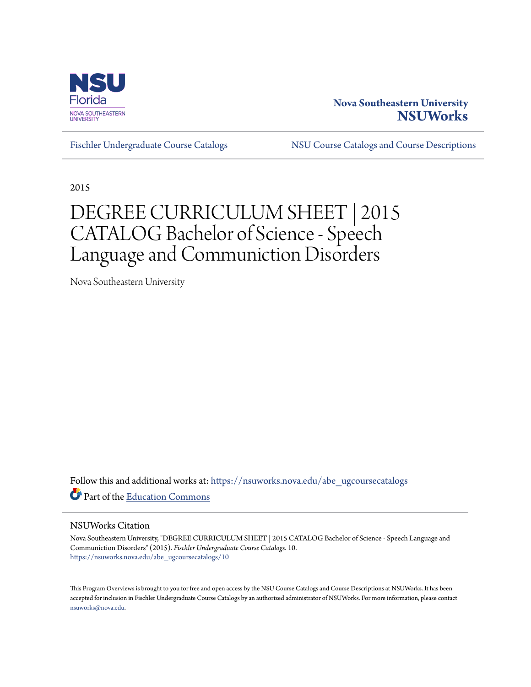

# **Nova Southeastern University [NSUWorks](https://nsuworks.nova.edu?utm_source=nsuworks.nova.edu%2Fabe_ugcoursecatalogs%2F10&utm_medium=PDF&utm_campaign=PDFCoverPages)**

[Fischler Undergraduate Course Catalogs](https://nsuworks.nova.edu/abe_ugcoursecatalogs?utm_source=nsuworks.nova.edu%2Fabe_ugcoursecatalogs%2F10&utm_medium=PDF&utm_campaign=PDFCoverPages) [NSU Course Catalogs and Course Descriptions](https://nsuworks.nova.edu/nsu_catalogs?utm_source=nsuworks.nova.edu%2Fabe_ugcoursecatalogs%2F10&utm_medium=PDF&utm_campaign=PDFCoverPages)

2015

# DEGREE CURRICULUM SHEET | 2015 CATALOG Bachelor of Science - Speech Language and Communiction Disorders

Nova Southeastern University

Follow this and additional works at: [https://nsuworks.nova.edu/abe\\_ugcoursecatalogs](https://nsuworks.nova.edu/abe_ugcoursecatalogs?utm_source=nsuworks.nova.edu%2Fabe_ugcoursecatalogs%2F10&utm_medium=PDF&utm_campaign=PDFCoverPages) Part of the [Education Commons](http://network.bepress.com/hgg/discipline/784?utm_source=nsuworks.nova.edu%2Fabe_ugcoursecatalogs%2F10&utm_medium=PDF&utm_campaign=PDFCoverPages)

## NSUWorks Citation

Nova Southeastern University, "DEGREE CURRICULUM SHEET | 2015 CATALOG Bachelor of Science - Speech Language and Communiction Disorders" (2015). *Fischler Undergraduate Course Catalogs*. 10. [https://nsuworks.nova.edu/abe\\_ugcoursecatalogs/10](https://nsuworks.nova.edu/abe_ugcoursecatalogs/10?utm_source=nsuworks.nova.edu%2Fabe_ugcoursecatalogs%2F10&utm_medium=PDF&utm_campaign=PDFCoverPages)

This Program Overviews is brought to you for free and open access by the NSU Course Catalogs and Course Descriptions at NSUWorks. It has been accepted for inclusion in Fischler Undergraduate Course Catalogs by an authorized administrator of NSUWorks. For more information, please contact [nsuworks@nova.edu.](mailto:nsuworks@nova.edu)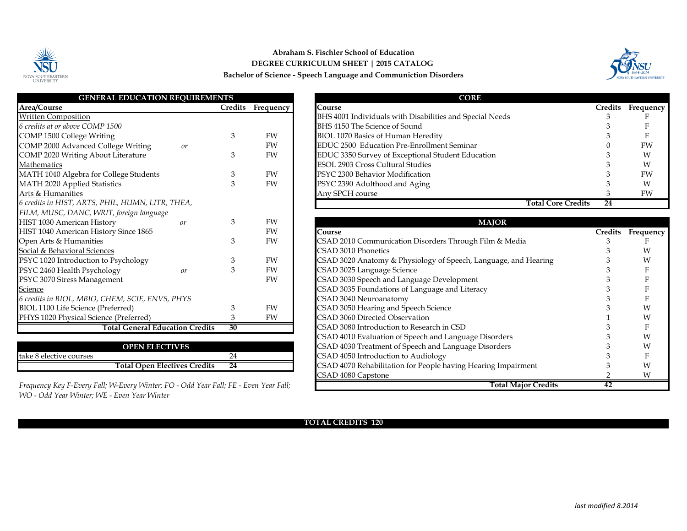

# **Abraham S. Fischler School of Education DEGREE CURRICULUM SHEET | 2015 CATALOG Bachelor of Science - Speech Language and Communiction Disorders**



| <b>GENERAL EDUCATION REQUIREMENTS</b>            |                 |           | <b>CORE</b>                                       |
|--------------------------------------------------|-----------------|-----------|---------------------------------------------------|
| Area/Course                                      | Credits         | Frequency | Course                                            |
| <b>Written Composition</b>                       |                 |           | BHS 4001 Individuals with Disabilities and Specia |
| 6 credits at or above COMP 1500                  |                 |           | BHS 4150 The Science of Sound                     |
| COMP 1500 College Writing                        | 3               | <b>FW</b> | BIOL 1070 Basics of Human Heredity                |
| COMP 2000 Advanced College Writing<br>or         |                 | FW        | EDUC 2500 Education Pre-Enrollment Seminar        |
| COMP 2020 Writing About Literature               | 3               | FW        | EDUC 3350 Survey of Exceptional Student Educa     |
| Mathematics                                      |                 |           | <b>ESOL 2903 Cross Cultural Studies</b>           |
| MATH 1040 Algebra for College Students           | 3               | FW        | PSYC 2300 Behavior Modification                   |
| MATH 2020 Applied Statistics                     | 3               | FW        | PSYC 2390 Adulthood and Aging                     |
| Arts & Humanities                                |                 |           | Any SPCH course                                   |
| 6 credits in HIST, ARTS, PHIL, HUMN, LITR, THEA, |                 |           |                                                   |
| FILM, MUSC, DANC, WRIT, foreign language         |                 |           |                                                   |
| HIST 1030 American History<br>or                 | 3               | <b>FW</b> |                                                   |
| HIST 1040 American History Since 1865            |                 | FW        | Course                                            |
| Open Arts & Humanities                           | 3               | FW        | CSAD 2010 Communication Disorders Through I       |
| Social & Behavioral Sciences                     |                 |           | CSAD 3010 Phonetics                               |
| PSYC 1020 Introduction to Psychology             | 3               | FW        | CSAD 3020 Anatomy & Physiology of Speech, La      |
| PSYC 2460 Health Psychology<br>or                | 3               | FW        | CSAD 3025 Language Science                        |
| PSYC 3070 Stress Management                      |                 | FW        | CSAD 3030 Speech and Language Development         |
| Science                                          |                 |           | CSAD 3035 Foundations of Language and Literac     |
| 6 credits in BIOL, MBIO, CHEM, SCIE, ENVS, PHYS  |                 |           | CSAD 3040 Neuroanatomy                            |
| BIOL 1100 Life Science (Preferred)               | 3               | <b>FW</b> | CSAD 3050 Hearing and Speech Science              |
| PHYS 1020 Physical Science (Preferred)           | 3               | FW        | CSAD 3060 Directed Observation                    |
| <b>Total General Education Credits</b>           | $\overline{30}$ |           | CSAD 3080 Introduction to Research in CSD         |
|                                                  |                 |           | CSAD 4010 Evaluation of Speech and Language I     |

|                         | <b>OPEN ELECTIVES</b>        |    | CSAD 4030 Treatment of Speech and La           |
|-------------------------|------------------------------|----|------------------------------------------------|
| take 8 elective courses |                              |    | CSAD 4050 Introduction to Audiology            |
|                         | Total Open Electives Credits | 24 | <b>CSAD 4070 Rehabilitation for People has</b> |

*Frequency Key F-Every Fall; W-Every Winter; FO - Odd Year Fall; FE - Even Year Fall; WO - Odd Year Winter; WE - Even Year Winter*

| <b>GENERAL EDUCATION REOUIREMENTS</b>            |         |           | <b>CORE</b>                                              |                |           |  |
|--------------------------------------------------|---------|-----------|----------------------------------------------------------|----------------|-----------|--|
| Area/Course                                      | Credits | Frequency | Course                                                   | <b>Credits</b> | Frequency |  |
| <b>Written Composition</b>                       |         |           | BHS 4001 Individuals with Disabilities and Special Needs |                |           |  |
| 6 credits at or above COMP 1500                  |         |           | BHS 4150 The Science of Sound                            |                |           |  |
| COMP 1500 College Writing                        |         | <b>FW</b> | BIOL 1070 Basics of Human Heredity                       |                |           |  |
| COMP 2000 Advanced College Writing<br>or         |         | FW        | EDUC 2500 Education Pre-Enrollment Seminar               |                | FW        |  |
| COMP 2020 Writing About Literature               |         | FW        | EDUC 3350 Survey of Exceptional Student Education        |                | W         |  |
| Mathematics                                      |         |           | <b>ESOL 2903 Cross Cultural Studies</b>                  |                | W         |  |
| MATH 1040 Algebra for College Students           |         | FW        | PSYC 2300 Behavior Modification                          |                | FW        |  |
| <b>MATH 2020 Applied Statistics</b>              |         | <b>FW</b> | PSYC 2390 Adulthood and Aging                            |                | W         |  |
| Arts & Humanities                                |         |           | Any SPCH course                                          |                | <b>FW</b> |  |
| 6 credits in HIST, ARTS, PHIL, HUMN, LITR, THEA, |         |           | <b>Total Core Credits</b>                                | 24             |           |  |

| HIST 1030 American History<br>or                                                     |    | <b>FW</b> | <b>MAJOR</b>                                                    |         |                  |
|--------------------------------------------------------------------------------------|----|-----------|-----------------------------------------------------------------|---------|------------------|
| HIST 1040 American History Since 1865                                                |    | FW        | Course                                                          | Credits | <b>Frequency</b> |
| Open Arts & Humanities                                                               |    | <b>FW</b> | CSAD 2010 Communication Disorders Through Film & Media          |         |                  |
| Social & Behavioral Sciences                                                         |    |           | CSAD 3010 Phonetics                                             |         |                  |
| PSYC 1020 Introduction to Psychology                                                 |    | <b>FW</b> | CSAD 3020 Anatomy & Physiology of Speech, Language, and Hearing |         | W                |
| PSYC 2460 Health Psychology<br>or                                                    |    | FW        | CSAD 3025 Language Science                                      |         |                  |
| PSYC 3070 Stress Management                                                          |    | <b>FW</b> | CSAD 3030 Speech and Language Development                       |         |                  |
| Science                                                                              |    |           | CSAD 3035 Foundations of Language and Literacy                  |         |                  |
| 6 credits in BIOL, MBIO, CHEM, SCIE, ENVS, PHYS                                      |    |           | CSAD 3040 Neuroanatomy                                          |         |                  |
| BIOL 1100 Life Science (Preferred)                                                   |    | FW        | CSAD 3050 Hearing and Speech Science                            |         | W                |
| PHYS 1020 Physical Science (Preferred)                                               |    | FW        | CSAD 3060 Directed Observation                                  |         | W                |
| Total General Education Credits                                                      | 30 |           | CSAD 3080 Introduction to Research in CSD                       |         |                  |
|                                                                                      |    |           | CSAD 4010 Evaluation of Speech and Language Disorders           |         | W                |
| <b>OPEN ELECTIVES</b>                                                                |    |           | CSAD 4030 Treatment of Speech and Language Disorders            |         | W                |
| take 8 elective courses                                                              | 24 |           | CSAD 4050 Introduction to Audiology                             |         |                  |
| Total Open Electives Credits                                                         | 24 |           | CSAD 4070 Rehabilitation for People having Hearing Impairment   |         | W                |
|                                                                                      |    |           | CSAD 4080 Capstone                                              |         | W                |
| Frequency Key F-Every Fall; W-Every Winter; FO - Odd Year Fall; FE - Even Year Fall; |    |           | Total Major Credits                                             | 42      |                  |

## **TOTAL CREDITS 120**